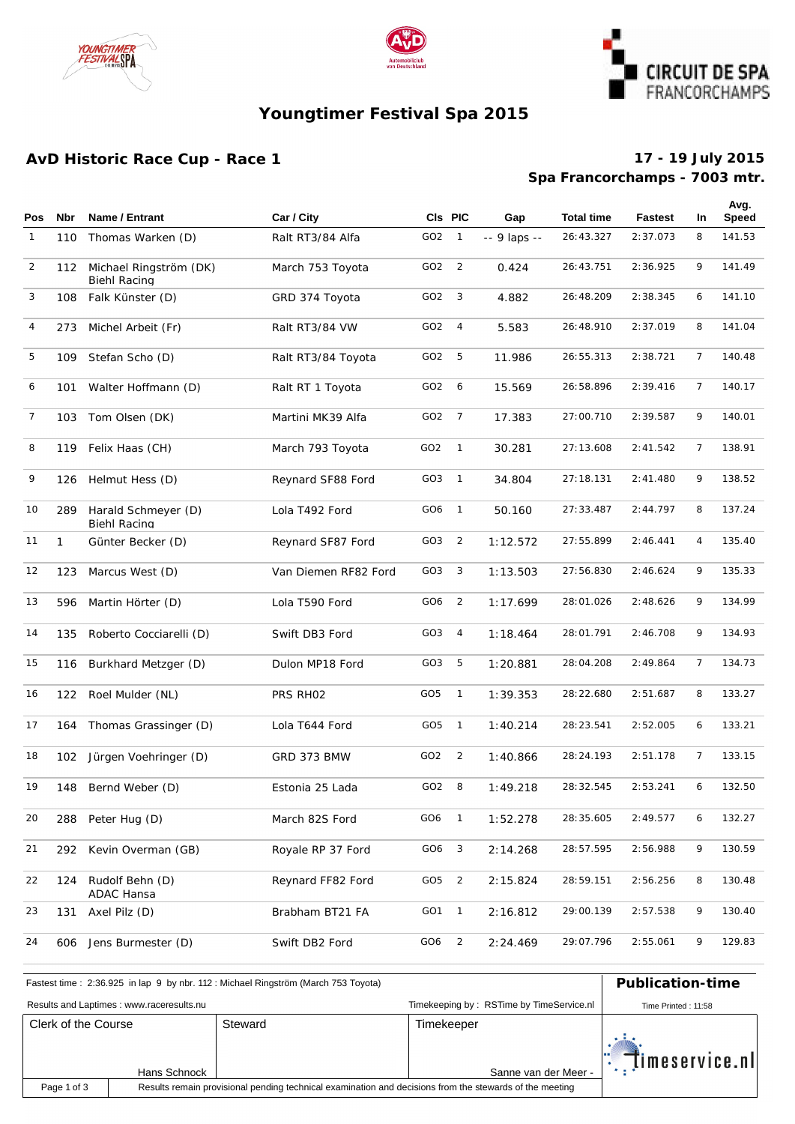





# **Youngtimer Festival Spa 2015**

## **AvD Historic Race Cup - Race 1**

### **Spa Francorchamps - 7003 mtr. 17 - 19 July 2015**

| <b>Pos</b>   | <b>Nbr</b>   | Name / Entrant                                | Car / City           |                 | CIs PIC        | Gap          | <b>Total time</b> | <b>Fastest</b> | In             | Avg.<br><b>Speed</b> |
|--------------|--------------|-----------------------------------------------|----------------------|-----------------|----------------|--------------|-------------------|----------------|----------------|----------------------|
| $\mathbf{1}$ | 110          | Thomas Warken (D)                             | Ralt RT3/84 Alfa     | GO <sub>2</sub> | $\mathbf{1}$   | -- 9 laps -- | 26: 43.327        | 2:37.073       | 8              | 141.53               |
| 2            | 112          | Michael Ringström (DK)<br><b>Biehl Racing</b> | March 753 Toyota     | GO <sub>2</sub> | $\overline{2}$ | 0.424        | 26:43.751         | 2:36.925       | 9              | 141.49               |
| 3            | 108          | Falk Künster (D)                              | GRD 374 Toyota       | GO <sub>2</sub> | 3              | 4.882        | 26:48.209         | 2:38.345       | 6              | 141.10               |
| 4            | 273          | Michel Arbeit (Fr)                            | Ralt RT3/84 VW       | GO <sub>2</sub> | $\overline{4}$ | 5.583        | 26:48.910         | 2:37.019       | 8              | 141.04               |
| 5            | 109          | Stefan Scho (D)                               | Ralt RT3/84 Toyota   | GO <sub>2</sub> | 5              | 11.986       | 26:55.313         | 2:38.721       | $\overline{7}$ | 140.48               |
| 6            | 101          | Walter Hoffmann (D)                           | Ralt RT 1 Toyota     | GO <sub>2</sub> | 6              | 15.569       | 26:58.896         | 2:39.416       | 7              | 140.17               |
| 7            | 103          | Tom Olsen (DK)                                | Martini MK39 Alfa    | GO <sub>2</sub> | $\overline{7}$ | 17.383       | 27:00.710         | 2:39.587       | 9              | 140.01               |
| 8            | 119          | Felix Haas (CH)                               | March 793 Toyota     | GO <sub>2</sub> | $\overline{1}$ | 30.281       | 27:13.608         | 2: 41.542      | $\overline{7}$ | 138.91               |
| 9            | 126          | Helmut Hess (D)                               | Reynard SF88 Ford    | GO <sub>3</sub> | $\overline{1}$ | 34.804       | 27:18.131         | 2: 41.480      | 9              | 138.52               |
| 10           | 289          | Harald Schmeyer (D)<br>Biehl Racing           | Lola T492 Ford       | GO6             | $\overline{1}$ | 50.160       | 27: 33.487        | 2:44.797       | 8              | 137.24               |
| 11           | $\mathbf{1}$ | Günter Becker (D)                             | Reynard SF87 Ford    | GO3             | $\overline{2}$ | 1:12.572     | 27:55.899         | 2:46.441       | 4              | 135.40               |
| 12           | 123          | Marcus West (D)                               | Van Diemen RF82 Ford | GO <sub>3</sub> | 3              | 1:13.503     | 27:56.830         | 2:46.624       | 9              | 135.33               |
| 13           | 596          | Martin Hörter (D)                             | Lola T590 Ford       | GO <sub>6</sub> | $\overline{2}$ | 1:17.699     | 28:01.026         | 2:48.626       | 9              | 134.99               |
| 14           | 135          | Roberto Cocciarelli (D)                       | Swift DB3 Ford       | GO3             | $\overline{4}$ | 1:18.464     | 28:01.791         | 2:46.708       | 9              | 134.93               |
| 15           | 116          | Burkhard Metzger (D)                          | Dulon MP18 Ford      | GO3             | 5              | 1:20.881     | 28:04.208         | 2:49.864       | 7              | 134.73               |
| 16           | 122          | Roel Mulder (NL)                              | PRS RHO2             | GO <sub>5</sub> | $\overline{1}$ | 1:39.353     | 28:22.680         | 2:51.687       | 8              | 133.27               |
| 17           | 164          | Thomas Grassinger (D)                         | Lola T644 Ford       | GO <sub>5</sub> | $\overline{1}$ | 1:40.214     | 28:23.541         | 2:52.005       | 6              | 133.21               |
| 18           | 102          | Jürgen Voehringer (D)                         | GRD 373 BMW          | GO <sub>2</sub> | $\overline{2}$ | 1:40.866     | 28:24.193         | 2:51.178       | 7              | 133.15               |
| 19           | 148          | Bernd Weber (D)                               | Estonia 25 Lada      | GO <sub>2</sub> | - 8            | 1:49.218     | 28:32.545         | 2:53.241       | 6              | 132.50               |
| 20           | 288          | Peter Hug (D)                                 | March 82S Ford       | GO6             | $\overline{1}$ | 1:52.278     | 28: 35. 605       | 2:49.577       | 6              | 132.27               |
| 21           | 292          | Kevin Overman (GB)                            | Royale RP 37 Ford    | GO6             | 3              | 2:14.268     | 28:57.595         | 2:56.988       | 9              | 130.59               |
| 22           | 124          | Rudolf Behn (D)<br><b>ADAC Hansa</b>          | Reynard FF82 Ford    | GO <sub>5</sub> | $\overline{2}$ | 2:15.824     | 28:59.151         | 2:56.256       | 8              | 130.48               |
| 23           | 131          | Axel Pilz (D)                                 | Brabham BT21 FA      | GO1             | $\overline{1}$ | 2:16.812     | 29:00.139         | 2:57.538       | 9              | 130.40               |
| 24           | 606          | Jens Burmester (D)                            | Swift DB2 Ford       | GO6             | $\overline{2}$ | 2:24.469     | 29:07.796         | 2:55.061       | 9              | 129.83               |

| Fastest time: 2:36.925 in lap 9 by nbr. 112: Michael Ringström (March 753 Toyota) | <b>Publication-time</b>                                                                                 |         |                                          |                              |  |  |
|-----------------------------------------------------------------------------------|---------------------------------------------------------------------------------------------------------|---------|------------------------------------------|------------------------------|--|--|
|                                                                                   | Results and Laptimes: www.raceresults.nu                                                                |         | Timekeeping by: RSTime by TimeService.nl | Time Printed: 11:58          |  |  |
| Clerk of the Course                                                               |                                                                                                         | Steward | Timekeeper                               |                              |  |  |
|                                                                                   | Hans Schnock                                                                                            |         | Sanne van der Meer -                     | $\blacksquare$ imeservice.nl |  |  |
| Page 1 of 3                                                                       | Results remain provisional pending technical examination and decisions from the stewards of the meeting |         |                                          |                              |  |  |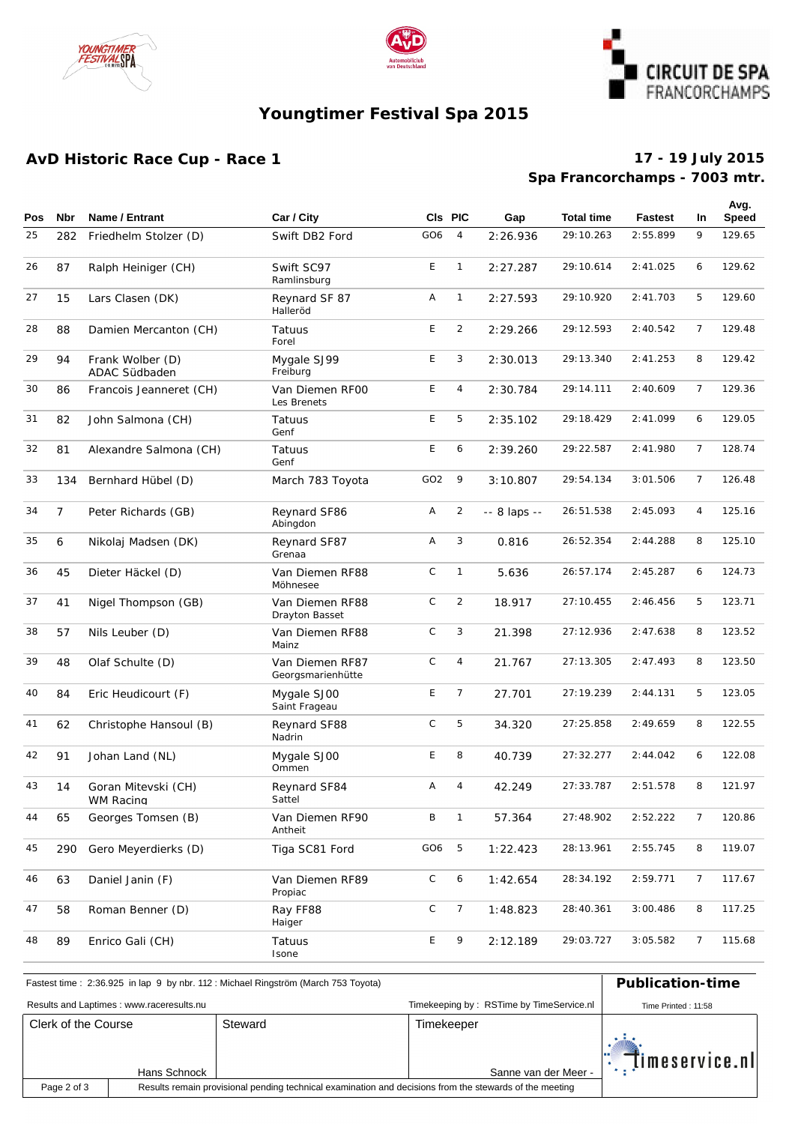





# **Youngtimer Festival Spa 2015**

## **AvD Historic Race Cup - Race 1**

### **Spa Francorchamps - 7003 mtr. 17 - 19 July 2015**

| <b>Pos</b> | Nbr            | Name / Entrant                                | Car / City                           |                 | CIs PIC         | Gap          | <b>Total time</b> | <b>Fastest</b> | <b>In</b>      | Avg.<br><b>Speed</b> |
|------------|----------------|-----------------------------------------------|--------------------------------------|-----------------|-----------------|--------------|-------------------|----------------|----------------|----------------------|
|            |                |                                               |                                      |                 |                 |              |                   |                |                |                      |
| 25         | 282            | Friedhelm Stolzer (D)                         | Swift DB2 Ford                       | GO <sub>6</sub> | 4               | 2:26.936     | 29:10.263         | 2:55.899       | 9              | 129.65               |
| 26         | 87             | Ralph Heiniger (CH)                           | Swift SC97<br>Ramlinsburg            | E               | $\mathbf{1}$    | 2: 27.287    | 29:10.614         | 2: 41.025      | 6              | 129.62               |
| 27         | 15             | Lars Clasen (DK)<br>Reynard SF 87<br>Halleröd |                                      | Α               | $\mathbf{1}$    | 2: 27.593    | 29:10.920         | 2: 41.703      | 5              | 129.60               |
| 28         | 88             | Damien Mercanton (CH)<br>Tatuus<br>Forel      |                                      | E               | $\overline{2}$  | 2: 29.266    | 29:12.593         | 2:40.542       | 7              | 129.48               |
| 29         | 94             | Frank Wolber (D)<br>ADAC Südbaden             | Mygale SJ99<br>Freiburg              | E               | 3               | 2:30.013     | 29:13.340         | 2: 41.253      | 8              | 129.42               |
| 30         | 86             | Francois Jeanneret (CH)                       | Van Diemen RFOO<br>Les Brenets       | E               | 4               | 2:30.784     | 29:14.111         | 2:40.609       | 7              | 129.36               |
| 31         | 82             | John Salmona (CH)                             | Tatuus<br>Genf                       | E               | 5               | 2:35.102     | 29:18.429         | 2:41.099       | 6              | 129.05               |
| 32         | 81             | Alexandre Salmona (CH)<br>Tatuus<br>Genf      |                                      | E               | 6               | 2:39.260     | 29:22.587         | 2:41.980       | $\overline{7}$ | 128.74               |
| 33         | 134            | Bernhard Hübel (D)                            | March 783 Toyota                     | GO <sub>2</sub> | 9               | 3:10.807     | 29:54.134         | 3:01.506       | $\overline{7}$ | 126.48               |
| 34         | $\overline{7}$ | Peter Richards (GB)                           | Reynard SF86<br>Abingdon             | Α               | $\overline{2}$  | -- 8 laps -- | 26:51.538         | 2:45.093       | 4              | 125.16               |
| 35         | 6              | Nikolaj Madsen (DK)                           | Reynard SF87<br>Grenaa               | Α               | 3               | 0.816        | 26:52.354         | 2:44.288       | 8              | 125.10               |
| 36         | 45             | Dieter Häckel (D)                             | Van Diemen RF88<br>Möhnesee          | $\mathsf C$     | $\mathbf{1}$    | 5.636        | 26:57.174         | 2:45.287       | 6              | 124.73               |
| 37         | 41             | Nigel Thompson (GB)                           | Van Diemen RF88<br>Drayton Basset    | $\mathsf C$     | $\overline{2}$  | 18.917       | 27:10.455         | 2:46.456       | 5              | 123.71               |
| 38         | 57             | Nils Leuber (D)                               | Van Diemen RF88<br>Mainz             | $\mathsf C$     | 3               | 21.398       | 27:12.936         | 2:47.638       | 8              | 123.52               |
| 39         | 48             | Olaf Schulte (D)                              | Van Diemen RF87<br>Georgsmarienhütte | $\mathsf C$     | 4               | 21.767       | 27:13.305         | 2: 47.493      | 8              | 123.50               |
| 40         | 84             | Eric Heudicourt (F)                           | Mygale SJ00<br>Saint Frageau         | E               | $7\overline{ }$ | 27.701       | 27:19.239         | 2: 44.131      | 5              | 123.05               |
| 41         | 62             | Christophe Hansoul (B)                        | Reynard SF88<br>Nadrin               | $\mathsf C$     | 5               | 34.320       | 27:25.858         | 2:49.659       | 8              | 122.55               |
| 42         | 91             | Johan Land (NL)                               | Mygale SJ00<br>Ommen                 |                 | 8               | 40.739       | 27:32.277         | 2:44.042       | 6              | 122.08               |
| 43         | 14             | Goran Mitevski (CH)<br>WM Racing              | Reynard SF84<br>Sattel               | A               | 4               | 42.249       | 27:33.787         | 2:51.578       | 8              | 121.97               |
| 44         | 65             | Georges Tomsen (B)                            | Van Diemen RF90<br>Antheit           | В               | $\overline{1}$  | 57.364       | 27:48.902         | 2:52.222       | 7              | 120.86               |
| 45         | 290            | Gero Meyerdierks (D)                          | Tiga SC81 Ford                       | GO6             | $\overline{5}$  | 1:22.423     | 28:13.961         | 2:55.745       | 8              | 119.07               |
| 46         | 63             | Daniel Janin (F)                              | Van Diemen RF89<br>Propiac           | С               | 6               | 1:42.654     | 28:34.192         | 2:59.771       | 7              | 117.67               |
| 47         | 58             | Roman Benner (D)                              | Ray FF88<br>Haiger                   | C               | $\overline{7}$  | 1:48.823     | 28:40.361         | 3:00.486       | 8              | 117.25               |
| 48         | 89             | Enrico Gali (CH)                              | Tatuus<br>Isone                      | E               | 9               | 2:12.189     | 29:03.727         | 3:05.582       | 7              | 115.68               |

| Fastest time: 2:36.925 in lap 9 by nbr. 112: Michael Ringström (March 753 Toyota) | <b>Publication-time</b>                  |  |                                                                                                         |                     |
|-----------------------------------------------------------------------------------|------------------------------------------|--|---------------------------------------------------------------------------------------------------------|---------------------|
|                                                                                   | Results and Laptimes: www.raceresults.nu |  | Timekeeping by: RSTime by TimeService.nl                                                                | Time Printed: 11:58 |
| Clerk of the Course<br>Steward<br>Hans Schnock                                    |                                          |  | Timekeeper<br>Sanne van der Meer -                                                                      | " Timeservice.nl    |
| Page 2 of 3                                                                       |                                          |  | Results remain provisional pending technical examination and decisions from the stewards of the meeting |                     |